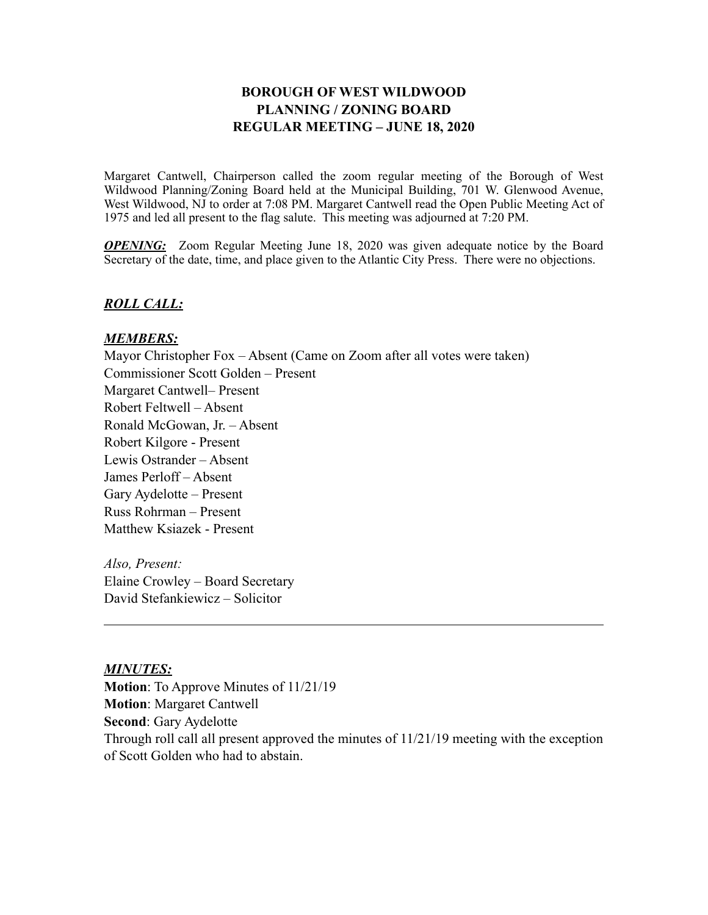# **BOROUGH OF WEST WILDWOOD PLANNING / ZONING BOARD REGULAR MEETING – JUNE 18, 2020**

Margaret Cantwell, Chairperson called the zoom regular meeting of the Borough of West Wildwood Planning/Zoning Board held at the Municipal Building, 701 W. Glenwood Avenue, West Wildwood, NJ to order at 7:08 PM. Margaret Cantwell read the Open Public Meeting Act of 1975 and led all present to the flag salute. This meeting was adjourned at 7:20 PM.

*OPENING:* Zoom Regular Meeting June 18, 2020 was given adequate notice by the Board Secretary of the date, time, and place given to the Atlantic City Press. There were no objections.

### *ROLL CALL:*

#### *MEMBERS:*

Mayor Christopher Fox – Absent (Came on Zoom after all votes were taken) Commissioner Scott Golden – Present Margaret Cantwell– Present Robert Feltwell – Absent Ronald McGowan, Jr. – Absent Robert Kilgore - Present Lewis Ostrander – Absent James Perloff – Absent Gary Aydelotte – Present Russ Rohrman – Present Matthew Ksiazek - Present

*Also, Present:* Elaine Crowley – Board Secretary David Stefankiewicz – Solicitor

### *MINUTES:*

**Motion**: To Approve Minutes of 11/21/19 **Motion**: Margaret Cantwell **Second**: Gary Aydelotte Through roll call all present approved the minutes of 11/21/19 meeting with the exception of Scott Golden who had to abstain.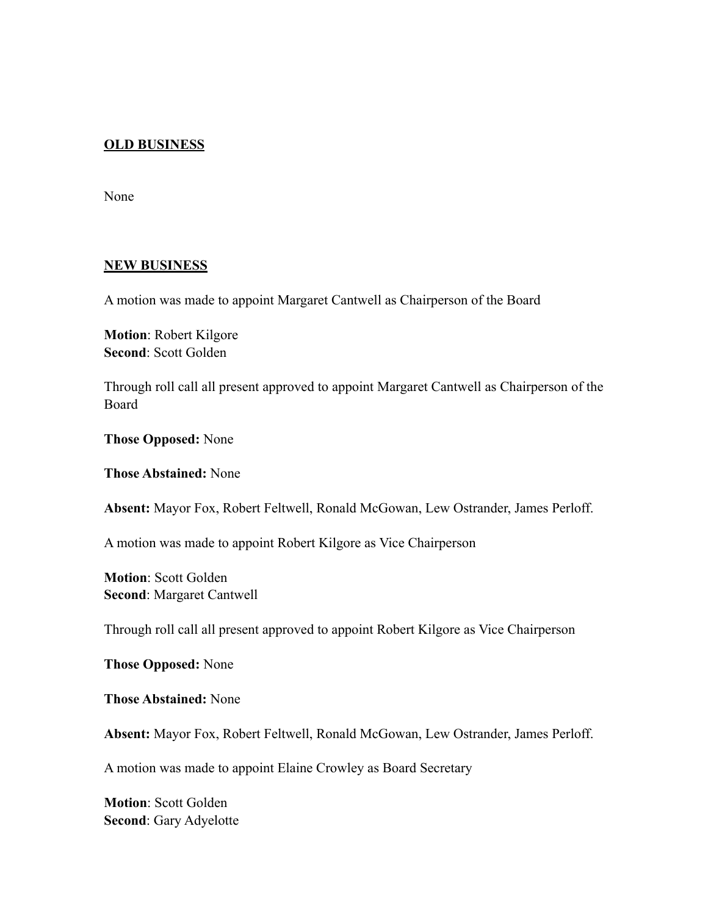## **OLD BUSINESS**

None

#### **NEW BUSINESS**

A motion was made to appoint Margaret Cantwell as Chairperson of the Board

**Motion**: Robert Kilgore **Second**: Scott Golden

Through roll call all present approved to appoint Margaret Cantwell as Chairperson of the Board

**Those Opposed:** None

**Those Abstained:** None

**Absent:** Mayor Fox, Robert Feltwell, Ronald McGowan, Lew Ostrander, James Perloff.

A motion was made to appoint Robert Kilgore as Vice Chairperson

**Motion**: Scott Golden **Second**: Margaret Cantwell

Through roll call all present approved to appoint Robert Kilgore as Vice Chairperson

**Those Opposed:** None

**Those Abstained:** None

**Absent:** Mayor Fox, Robert Feltwell, Ronald McGowan, Lew Ostrander, James Perloff.

A motion was made to appoint Elaine Crowley as Board Secretary

**Motion**: Scott Golden **Second**: Gary Adyelotte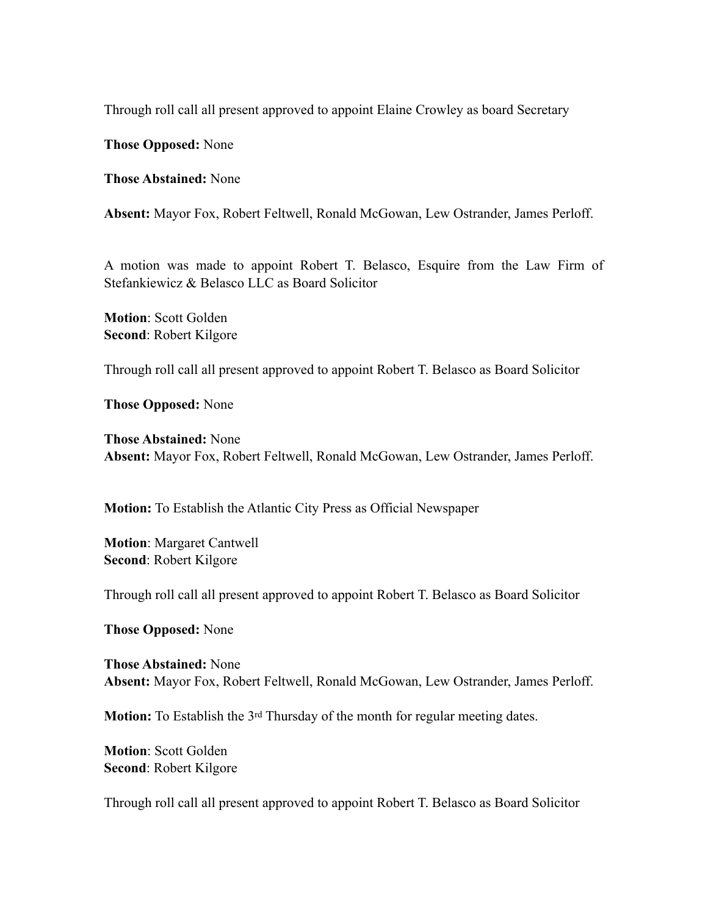Through roll call all present approved to appoint Elaine Crowley as board Secretary

**Those Opposed:** None

**Those Abstained:** None

**Absent:** Mayor Fox, Robert Feltwell, Ronald McGowan, Lew Ostrander, James Perloff.

A motion was made to appoint Robert T. Belasco, Esquire from the Law Firm of Stefankiewicz & Belasco LLC as Board Solicitor

**Motion**: Scott Golden **Second**: Robert Kilgore

Through roll call all present approved to appoint Robert T. Belasco as Board Solicitor

**Those Opposed:** None

**Those Abstained:** None **Absent:** Mayor Fox, Robert Feltwell, Ronald McGowan, Lew Ostrander, James Perloff.

**Motion:** To Establish the Atlantic City Press as Official Newspaper

**Motion**: Margaret Cantwell **Second**: Robert Kilgore

Through roll call all present approved to appoint Robert T. Belasco as Board Solicitor

**Those Opposed:** None

**Those Abstained:** None **Absent:** Mayor Fox, Robert Feltwell, Ronald McGowan, Lew Ostrander, James Perloff.

**Motion:** To Establish the 3<sup>rd</sup> Thursday of the month for regular meeting dates.

**Motion**: Scott Golden **Second**: Robert Kilgore

Through roll call all present approved to appoint Robert T. Belasco as Board Solicitor